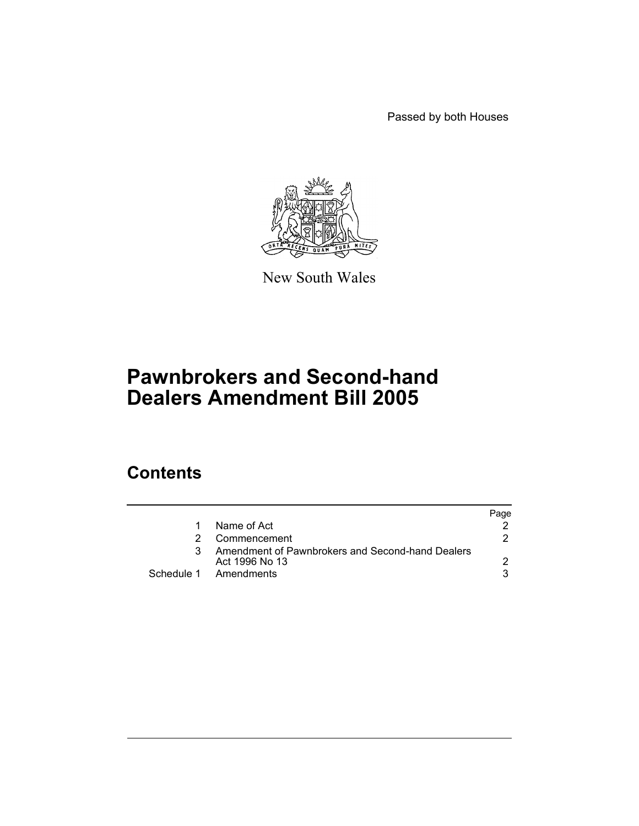Passed by both Houses



New South Wales

# **Pawnbrokers and Second-hand Dealers Amendment Bill 2005**

## **Contents**

|                                                                    | Page |
|--------------------------------------------------------------------|------|
| Name of Act                                                        |      |
| Commencement                                                       |      |
| Amendment of Pawnbrokers and Second-hand Dealers<br>Act 1996 No 13 |      |
| Schedule 1 Amendments                                              |      |
|                                                                    |      |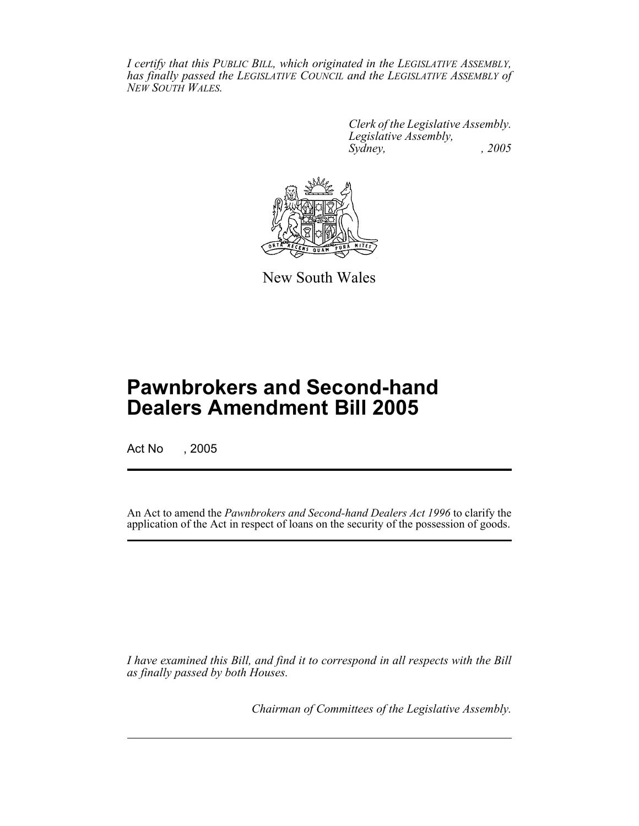*I certify that this PUBLIC BILL, which originated in the LEGISLATIVE ASSEMBLY, has finally passed the LEGISLATIVE COUNCIL and the LEGISLATIVE ASSEMBLY of NEW SOUTH WALES.*

> *Clerk of the Legislative Assembly. Legislative Assembly, Sydney, , 2005*



New South Wales

## **Pawnbrokers and Second-hand Dealers Amendment Bill 2005**

Act No , 2005

An Act to amend the *Pawnbrokers and Second-hand Dealers Act 1996* to clarify the application of the Act in respect of loans on the security of the possession of goods.

*I have examined this Bill, and find it to correspond in all respects with the Bill as finally passed by both Houses.*

*Chairman of Committees of the Legislative Assembly.*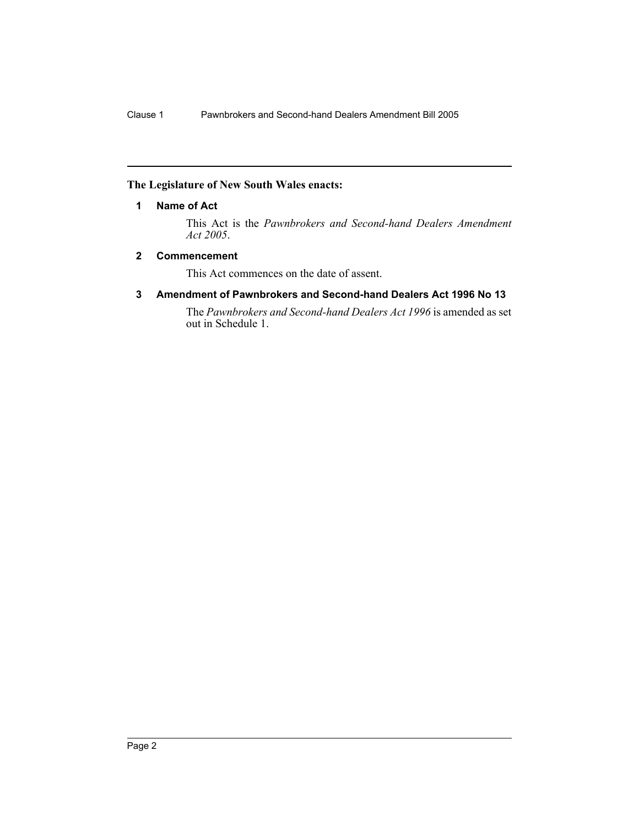### **The Legislature of New South Wales enacts:**

### **1 Name of Act**

This Act is the *Pawnbrokers and Second-hand Dealers Amendment Act 2005*.

### **2 Commencement**

This Act commences on the date of assent.

### **3 Amendment of Pawnbrokers and Second-hand Dealers Act 1996 No 13**

The *Pawnbrokers and Second-hand Dealers Act 1996* is amended as set out in Schedule 1.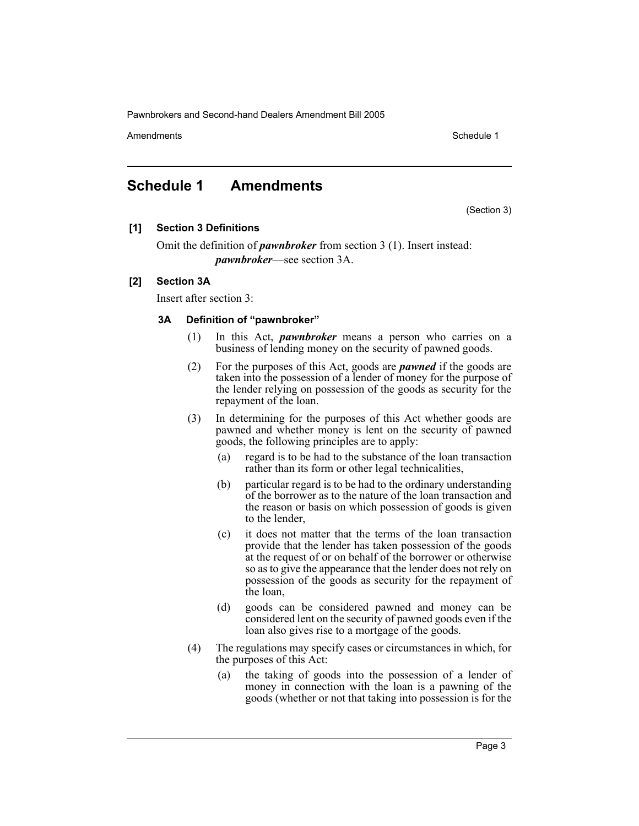Pawnbrokers and Second-hand Dealers Amendment Bill 2005

Amendments **Amendments** Schedule 1

### **Schedule 1 Amendments**

(Section 3)

### **[1] Section 3 Definitions**

Omit the definition of *pawnbroker* from section 3 (1). Insert instead: *pawnbroker*—see section 3A.

### **[2] Section 3A**

Insert after section 3:

### **3A Definition of "pawnbroker"**

- (1) In this Act, *pawnbroker* means a person who carries on a business of lending money on the security of pawned goods.
- (2) For the purposes of this Act, goods are *pawned* if the goods are taken into the possession of a lender of money for the purpose of the lender relying on possession of the goods as security for the repayment of the loan.
- (3) In determining for the purposes of this Act whether goods are pawned and whether money is lent on the security of pawned goods, the following principles are to apply:
	- (a) regard is to be had to the substance of the loan transaction rather than its form or other legal technicalities,
	- (b) particular regard is to be had to the ordinary understanding of the borrower as to the nature of the loan transaction and the reason or basis on which possession of goods is given to the lender,
	- (c) it does not matter that the terms of the loan transaction provide that the lender has taken possession of the goods at the request of or on behalf of the borrower or otherwise so as to give the appearance that the lender does not rely on possession of the goods as security for the repayment of the loan,
	- (d) goods can be considered pawned and money can be considered lent on the security of pawned goods even if the loan also gives rise to a mortgage of the goods.
- (4) The regulations may specify cases or circumstances in which, for the purposes of this Act:
	- (a) the taking of goods into the possession of a lender of money in connection with the loan is a pawning of the goods (whether or not that taking into possession is for the